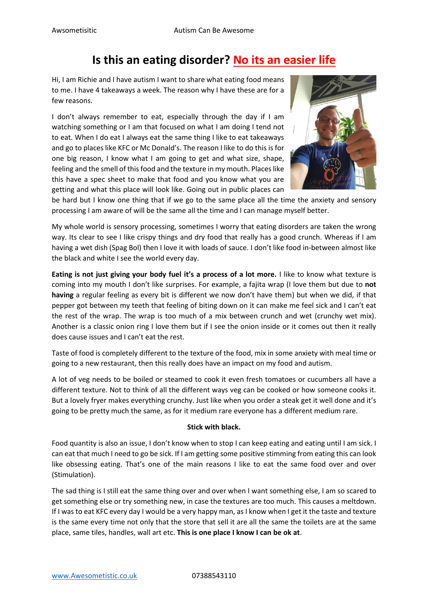## **Is this an eating disorder? No its an easier life**

Hi, I am Richie and I have autism I want to share what eating food means to me. I have 4 takeaways a week. The reason why I have these are for a few reasons.

I don't always remember to eat, especially through the day if I am watching something or I am that focused on what I am doing I tend not to eat. When I do eat I always eat the same thing I like to eat takeaways and go to places like KFC or Mc Donald's. The reason I like to do this is for one big reason, I know what I am going to get and what size, shape, feeling and the smell of this food and the texture in my mouth. Places like this have a spec sheet to make that food and you know what you are getting and what this place will look like. Going out in public places can



be hard but I know one thing that if we go to the same place all the time the anxiety and sensory processing I am aware of will be the same all the time and I can manage myself better.

My whole world is sensory processing, sometimes I worry that eating disorders are taken the wrong way. Its clear to see I like crispy things and dry food that really has a good crunch. Whereas if I am having a wet dish (Spag Bol) then I love it with loads of sauce. I don't like food in-between almost like the black and white I see the world every day.

**Eating is not just giving your body fuel it's a process of a lot more.** I like to know what texture is coming into my mouth I don't like surprises. For example, a fajita wrap (I love them but due to **not having** a regular feeling as every bit is different we now don't have them) but when we did, if that pepper got between my teeth that feeling of biting down on it can make me feel sick and I can't eat the rest of the wrap. The wrap is too much of a mix between crunch and wet (crunchy wet mix). Another is a classic onion ring I love them but if I see the onion inside or it comes out then it really does cause issues and I can't eat the rest.

Taste of food is completely different to the texture of the food, mix in some anxiety with meal time or going to a new restaurant, then this really does have an impact on my food and autism.

A lot of veg needs to be boiled or steamed to cook it even fresh tomatoes or cucumbers all have a different texture. Not to think of all the different ways veg can be cooked or how someone cooks it. But a lovely fryer makes everything crunchy. Just like when you order a steak get it well done and it's going to be pretty much the same, as for it medium rare everyone has a different medium rare.

## **Stick with black.**

Food quantity is also an issue, I don't know when to stop I can keep eating and eating until I am sick. I can eat that much I need to go be sick. If I am getting some positive stimming from eating this can look like obsessing eating. That's one of the main reasons I like to eat the same food over and over (Stimulation).

The sad thing is I still eat the same thing over and over when I want something else, I am so scared to get something else or try something new, in case the textures are too much. This causes a meltdown. If I was to eat KFC every day I would be a very happy man, as I know when I get it the taste and texture is the same every time not only that the store that sell it are all the same the toilets are at the same place, same tiles, handles, wall art etc. **This is one place I know I can be ok at**.